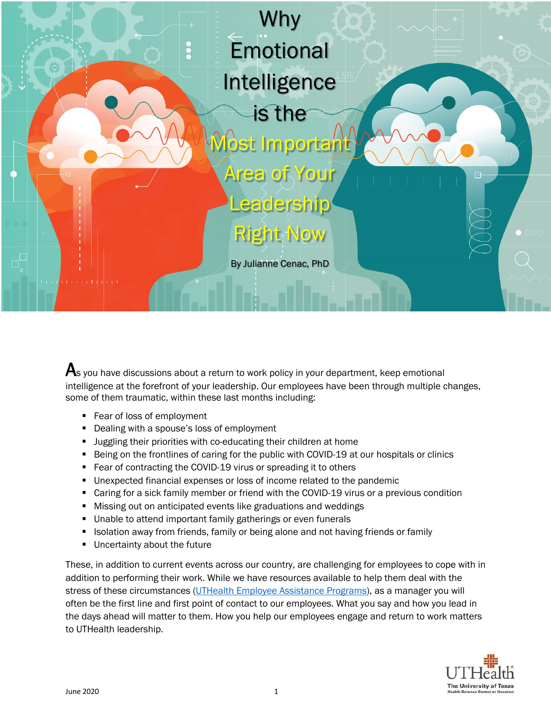

 ${\boldsymbol{\mathsf{A}}}$ s you have discussions about a return to work policy in your department, keep emotional intelligence at the forefront of your leadership. Our employees have been through multiple changes, some of them traumatic, within these last months including:

- Fear of loss of employment
- Dealing with a spouse's loss of employment
- **•** Juggling their priorities with co-educating their children at home
- Being on the frontlines of caring for the public with COVID-19 at our hospitals or clinics
- Fear of contracting the COVID-19 virus or spreading it to others
- Unexpected financial expenses or loss of income related to the pandemic
- Caring for a sick family member or friend with the COVID-19 virus or a previous condition
- Missing out on anticipated events like graduations and weddings
- Unable to attend important family gatherings or even funerals
- Isolation away from friends, family or being alone and not having friends or family
- **■** Uncertainty about the future

These, in addition to current events across our country, are challenging for employees to cope with in addition to performing their work. While we have resources available to help them deal with the stress of these circumstances (UTHealth Employee Assistance Programs), as a manager you will often be the first line and first point of contact to our employees. What you say and how you lead in the days ahead will matter to them. How you help our employees engage and return to work matters to UTHealth leadership.

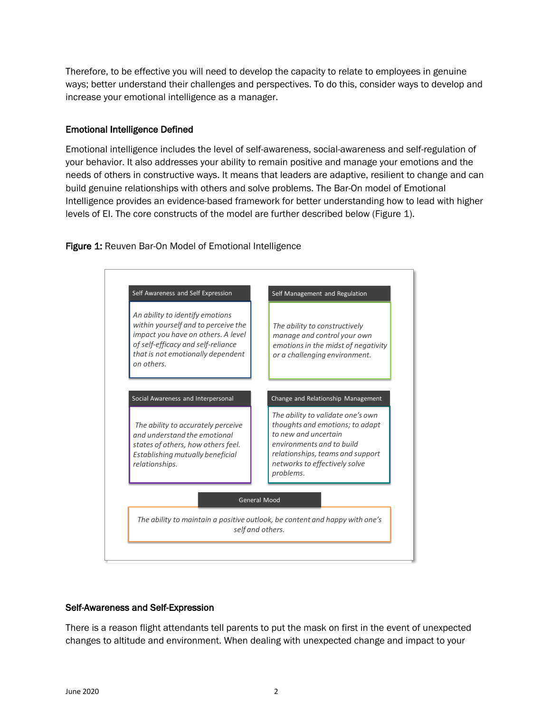Therefore, to be effective you will need to develop the capacity to relate to employees in genuine ways; better understand their challenges and perspectives. To do this, consider ways to develop and increase your emotional intelligence as a manager.

### Emotional Intelligence Defined

Emotional intelligence includes the level of self-awareness, social-awareness and self-regulation of your behavior. It also addresses your ability to remain positive and manage your emotions and the needs of others in constructive ways. It means that leaders are adaptive, resilient to change and can build genuine relationships with others and solve problems. The Bar-On model of Emotional Intelligence provides an evidence-based framework for better understanding how to lead with higher levels of EI. The core constructs of the model are further described below (Figure 1).

### Figure 1: Reuven Bar-On Model of Emotional Intelligence



# Self-Awareness and Self-Expression

There is a reason flight attendants tell parents to put the mask on first in the event of unexpected changes to altitude and environment. When dealing with unexpected change and impact to your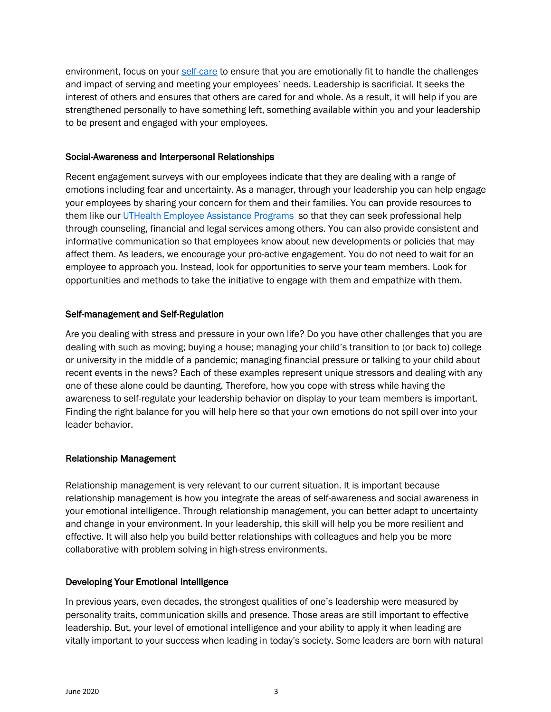environment, focus on your self-care to ensure that you are emotionally fit to handle the challenges and impact of serving and meeting your employees' needs. Leadership is sacrificial. It seeks the interest of others and ensures that others are cared for and whole. As a result, it will help if you are strengthened personally to have something left, something available within you and your leadership to be present and engaged with your employees.

#### Social-Awareness and Interpersonal Relationships

Recent engagement surveys with our employees indicate that they are dealing with a range of emotions including fear and uncertainty. As a manager, through your leadership you can help engage your employees by sharing your concern for them and their families. You can provide resources to them like our UTHealth Employee Assistance Programs so that they can seek professional help through counseling, financial and legal services among others. You can also provide consistent and informative communication so that employees know about new developments or policies that may affect them. As leaders, we encourage your pro-active engagement. You do not need to wait for an employee to approach you. Instead, look for opportunities to serve your team members. Look for opportunities and methods to take the initiative to engage with them and empathize with them.

### Self-management and Self-Regulation

Are you dealing with stress and pressure in your own life? Do you have other challenges that you are dealing with such as moving; buying a house; managing your child's transition to (or back to) college or university in the middle of a pandemic; managing financial pressure or talking to your child about recent events in the news? Each of these examples represent unique stressors and dealing with any one of these alone could be daunting. Therefore, how you cope with stress while having the awareness to self-regulate your leadership behavior on display to your team members is important. Finding the right balance for you will help here so that your own emotions do not spill over into your leader behavior.

# Relationship Management

Relationship management is very relevant to our current situation. It is important because relationship management is how you integrate the areas of self-awareness and social awareness in your emotional intelligence. Through relationship management, you can better adapt to uncertainty and change in your environment. In your leadership, this skill will help you be more resilient and effective. It will also help you build better relationships with colleagues and help you be more collaborative with problem solving in high-stress environments.

# Developing Your Emotional Intelligence

In previous years, even decades, the strongest qualities of one's leadership were measured by personality traits, communication skills and presence. Those areas are still important to effective leadership. But, your level of emotional intelligence and your ability to apply it when leading are vitally important to your success when leading in today's society. Some leaders are born with natural